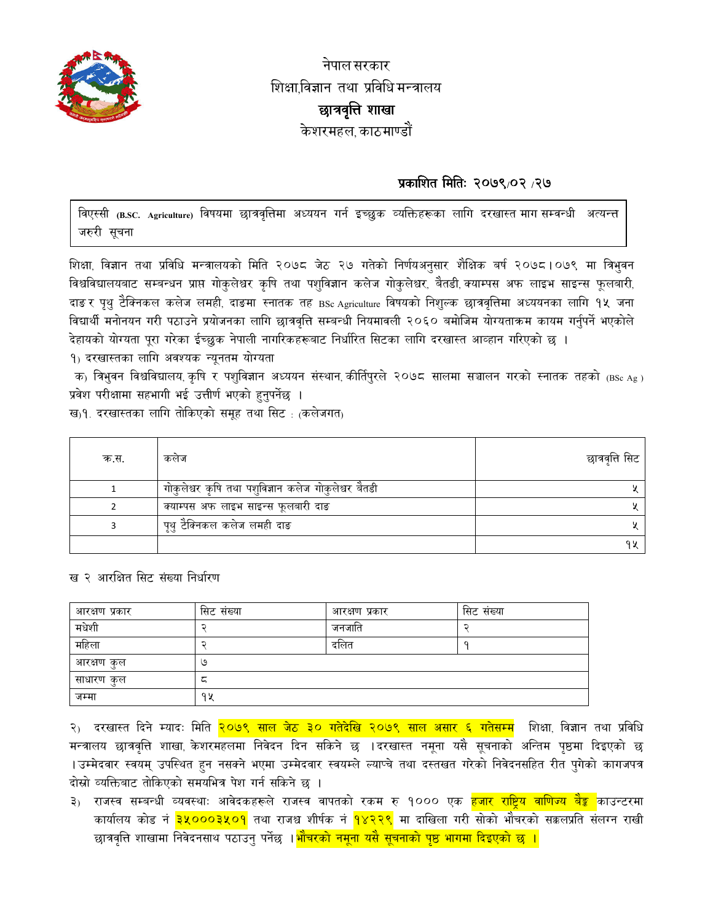

नेपाल सरकार शिक्षाविज्ञान तथा प्रविधि मन्त्रालय छात्रवृत्ति शाखा केशरमहल काठमाण्डौं

# प्रकाशित मितिः २०७९/०२ /२७

विएस्सी (B.SC. Agriculture) विषयमा छात्रवृत्तिमा अध्ययन गर्न इच्छुक व्यक्तिहरूका लागि दरखास्त मागसम्वन्धी अत्यन्त जरुरी सुचना

शिक्षा, विज्ञान तथा प्रविधि मन्त्रालयको मिति २०७८ जेठ २७ गतेको निर्णयअनुसार शैक्षिक बर्ष २०७८।०७९ मा त्रिभुवन विश्वविद्यालयबाट सम्बन्धन प्राप्त गोकुलेश्वर कृषि तथा पशुविज्ञान कलेज गोकुलेश्वर, बैतडी, क्याम्पस अफ लाइभ साइन्स फूलबारी, दाङ र पृथु टैक्निकल कलेज लमही, दाङमा स्नातक तह BSc Agriculture विषयको निशुल्क छात्रवृत्तिमा अध्ययनका लागि १५ जना विद्यार्थी मनोनयन गरी पठाउने प्रयोजनका लागि छात्रवृत्ति सम्बन्धी नियमावली २०६० बमोजिम योग्यताक्रम कायम गर्नुपर्ने भएकोले देहायको योग्यता पूरा गरेका ईच्छुक नेपाली नागरिकहरूबाट निर्धारित सिटका लागि दरखास्त आव्हान गरिएको छ ।

१) दरखास्तका लागि अवश्यक न्यूनतम योग्यता

क) त्रिभुवन विश्वविद्यालय, कृषि र पशुविज्ञान अध्ययन संस्थान, कीर्तिपुरले २०७८ सालमा सञ्चालन गरको स्नातक तहको (BSc Ag) प्रवेश परीक्षामा सहभागी भई उत्तीर्ण भएको हुनुपर्नेछ ।

ख)१. दरखास्तका लागि तोकिएको समूह तथा सिट : (कलेजगत)

| क.स. | कलज                                                  | छात्रवृत्ति सिट |
|------|------------------------------------------------------|-----------------|
|      | गोकुलेश्वर कृषि तथा पशुविज्ञान कलेज गोकुलेश्वर बैतडी |                 |
|      | क्याम्पस अफ लाइभ साइन्स फूलबारी दाङ                  |                 |
|      | पृथु टैक्निकल कलेज लमही दाङ                          |                 |
|      |                                                      |                 |

### ख २ आरक्षित सिट संख्या निर्धारण

| आरक्षण प्रकार | सिट संख्या | आरक्षण प्रकार | सिट संख्या |
|---------------|------------|---------------|------------|
| मधेशी         |            | जनजाति        |            |
| महिला         |            | दलित          |            |
| आरक्षण कुल    | ও          |               |            |
| साधारण कुल    | ∽          |               |            |
| जम्मा         | ٩X         |               |            |

२) दरखास्त दिने म्यादः मिति <mark>२०७९ साल जेठ ३० गतेदेखि २०७९ साल असार ६ गतेसम्म</mark> शिक्षा, विज्ञान तथा प्रविधि मन्त्रालय छात्रवृत्ति शाखा, केशरमहलमा निवेदन दिन सकिने छ ।दरखास्त नमूना यसै सूचनाको अन्तिम पृष्ठमा दिइएको छ ।उम्मेदवार स्वयम् उपस्थित हुन नसक्ने भएमा उम्मेदवार स्वयम्ले ल्याप्चे तथा दस्तखत गरेको निवेदनसहित रीत पुगेको कागजपत्र दोस्रो व्यक्तिबाट तोकिएको समयभित्र पेश गर्न सकिने छ ।

३) राजस्व सम्बन्धी व्यवस्थाः आवेदकहरूले राजस्व वापतको रकम रु १००० एक <mark>हजार राष्ट्रिय वाणिज्य बैङ्क</mark> काउन्टरमा कार्यालय कोड नं <mark>३५०००३५०१</mark> तथा राजश्व शीर्षक नं <mark>१४२२९</mark> मा दाखिला गरी सोको भौचरको सक्कलप्रति संलग्न राखी छात्रवृत्ति शाखामा निवेदनसाथ पठाउनु पर्नेछ ।<mark>भौचरको नमूना यसै सूचनाको पृष्ठ भागमा दिइएको छ ।</mark>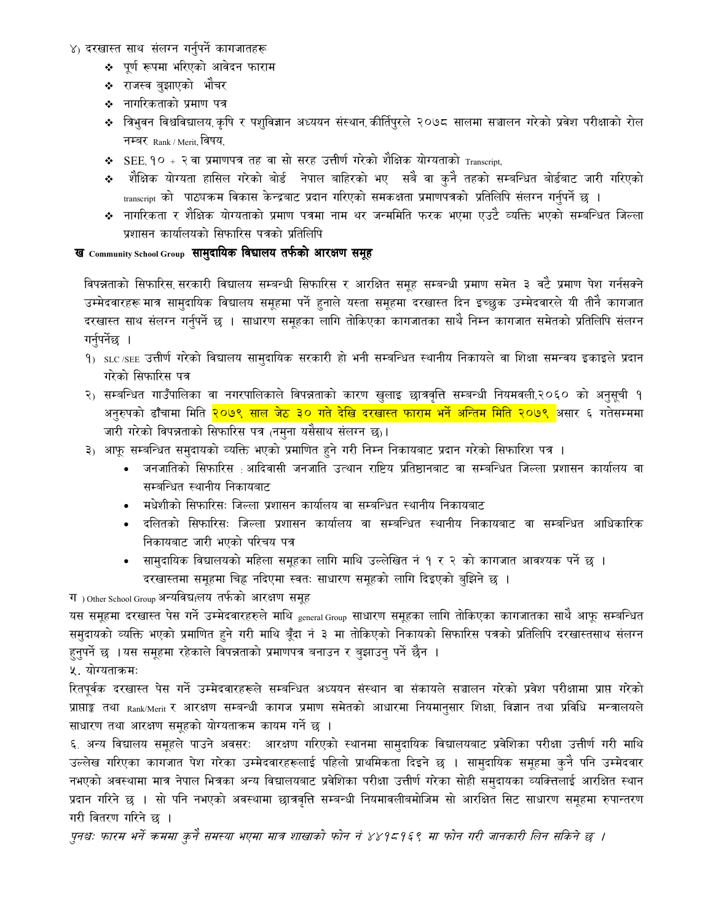#### ४) दरखास्त साथ संलग्न गर्नुपर्ने कागजातहरू

- ❖ पूर्ण रूपमा भरिएको आवेदन फाराम
- ❖ राजस्व बुझाएको भौचर
- ❖ नागरिकताको प्रमाण पत्र
- ❖ त्रिभुवन विश्वविद्यालय,कृषि र पशुविज्ञान अध्ययन संस्थान,कीर्तिपुरले २०७८ सालमा सञ्चालन गरेको प्रवेश परीक्षाको रोल नम्बर Rank / Merit, विषय,
- $\bullet$  SEE १० + २ वा प्रमाणपत्र तह वा सो सरह उत्तीर्ण गरेको शैक्षिक योग्यताको  $_{\text{Transcript}},$
- शैक्षिक योग्यता हासिल गरेको बोर्ड नेपाल बाहिरको भए सबै वा कुनै तहको सम्बन्धित बोर्डबाट जारी गरिएको transcript को पाठ्यक्रम विकास केन्द्रबाट प्रदान गरिएको समकक्षता प्रमाणपत्रको प्रतिलिपि संलग्न गर्नुपर्ने छ ।
- ❖ नागरिकता र शैक्षिक योग्यताको प्रमाण पत्रमा नाम थर जन्ममिति फरक भएमा एउटै व्यक्ति भएको सम्बन्धित जिल्ला प्रशासन कार्यालयको सिफारिस पत्रको प्रतिलिपि

#### ख Community School Group सामुदायिक विद्यालय तर्फको आरक्षण समूह

विपन्नताको सिफारिस, सरकारी विद्यालय सम्बन्धी सिफारिस र आरक्षित समूह सम्बन्धी प्रमाण समेत ३ वटै प्रमाण पेश गर्नसक्ने उम्मेदवारहरू मात्र सामुदायिक विद्यालय समूहमा पर्ने हुनाले यस्ता समूहमा दरखास्त दिन इच्छुक उम्मेदवारले यी तीनै कागजात दरखास्त साथ संलग्न गर्नपर्ने छ । साधारण समहका लागि तोकिएका कागजातका साथै निम्न कागजात समेतको प्रतिलिपि संलग्न गर्नुपर्नेछ ।

- 9) SLC/SEE उत्तीर्ण गरेको विद्यालय सामुदायिक सरकारी हो भनी सम्बन्धित स्थानीय निकायले वा शिक्षा समन्वय इकाइले प्रदान गरेको सिफारिस पत्र
- २) सम्बन्धित गाउँपालिका वा नगरपालिकाले विपन्नताको कारण खुलाइ छात्रवृत्ति सम्बन्धी नियमवली,२०६० को अनुसूची १ अनुरुपको ढाँचामा मिति <mark>२०७९ साल जेठ ३० गते देखि दरखास्त फाराम भर्ने अन्तिम मिति २०७९ </mark>असार ६ गतेसम्ममा जारी गरेको विपन्नताको सिफारिस पत्र (नमुना यसैसाथ संलग्न छ)।
- ३) आफू सम्बन्धित समुदायको व्यक्ति भएको प्रमाणित हुने गरी निम्न निकायबाट प्रदान गरेको सिफारिश पत्र ।
	- जनजातिको सिफारिस : आदिवासी जनजाति उत्थान राष्टिय प्रतिष्ठानबाट वा सम्बन्धित जिल्ला प्रशासन कार्यालय वा सम्बन्धित स्थानीय निकायबाट
	- मधेशीको सिफारिसः जिल्ला प्रशासन कार्यालय वा सम्बन्धित स्थानीय निकायबाट
	- दलितको सिफारिसः जिल्ला प्रशासन कार्यालय वा सम्बन्धित स्थानीय निकायबाट वा सम्बन्धित आधिकारिक निकायबाट जारी भएको परिचय पत्र
	- सामुदायिक विद्यालयको महिला समूहका लागि माथि उल्लेखित नं १ र २ को कागजात आवश्यक पर्ने छ । दरखास्तमा समूहमा चिह्न नदिएमा स्वतः साधारण समुहको लागि दिइएको बुझिने छ ।

ग) Other School Group अन्यविद्यालय तर्फको आरक्षण समूह

यस समूहमा दरखास्त पेस गर्ने उम्मेदवारहरुले माथि <sub>general Group</sub> साधारण समूहका लागि तोकिएका कागजातका साथै आफू सम्बन्धित समुदायको व्यक्ति भएको प्रमाणित हुने गरी माथि बूँदा नं ३ मा तोकिएको निकायको सिफारिस पत्रको प्रतिलिपि दरखास्तसाथ संलग्न हुनुपर्ने छ ।यस समूहमा रहेकाले विपन्नताको प्रमाणपत्र बनाउन र बुझाउनु पर्ने छैन ।

५. योग्यताकमः

रितपूर्वक दरखास्त पेस गर्ने उम्मेदवारहरूले सम्बन्धित अध्ययन संस्थान वा संकायले सञ्चालन गरेको प्रवेश परीक्षामा प्राप्त गरेको प्राप्ताङ्क तथा <sub>Rank/Merit</sub> र आरक्षण सम्बन्धी कागज प्रमाण समेतको आधारमा नियमानुसार शिक्षा, विज्ञान तथा प्रविधि मन्त्रालयले साधारण तथा आरक्षण समूहको योग्यताक्रम कायम गर्ने छ ।

६. अन्य विद्यालय समूहले पाउने अवसरः आरक्षण गरिएको स्थानमा सामुदायिक विद्यालयबाट प्रवेशिका परीक्षा उत्तीर्ण गरी माथि उल्लेख गरिएका कागजात पेश गरेका उम्मेदवारहरूलाई पहिलो प्राथमिकता दिइने छ । सामुदायिक समूहमा कुनै पनि उम्मेदवार नभएको अवस्थामा मात्र नेपाल भित्रका अन्य विद्यालयबाट प्रवेशिका परीक्षा उत्तीर्ण गरेका सोही समुदायका व्यक्तिलाई आरक्षित स्थान प्रदान गरिने छ । सो पनि नभएको अवस्थामा छात्रवृत्ति सम्बन्धी नियमावलीबमोजिम सो आरक्षित सिट साधारण समूहमा रुपान्तरण गरी वितरण गरिने छ ।

पुनश्चः फारम भर्ने कममा कुनै समस्या भएमा मात्र शाखाको फोन नं ४४१८१६९ मा फोन गरी जानकारी लिन सकिने छ ।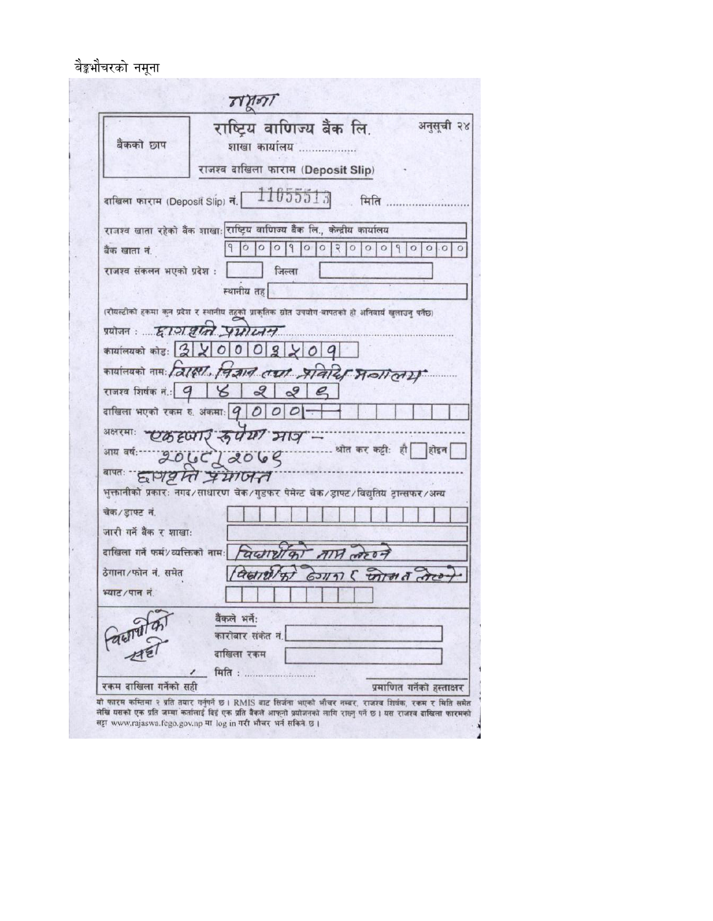बैङ्कभौचरको नमूना

| बैंकको छाप                           | अनुसूची २४<br>राष्ट्रिय वाणिज्य बैंक लि.<br>शाखा कार्यालय                                          |
|--------------------------------------|----------------------------------------------------------------------------------------------------|
|                                      | राजश्व दाखिला फाराम (Deposit Slip)                                                                 |
|                                      | दाखिला फाराम (Deposit Slip) नं. $\lceil \frac{11055513}{$<br>मिति                                  |
|                                      | राजश्व खाता रहेको बैंक शाखाः राष्ट्रिय वाणिज्य बैंक लि., केन्द्रीय कार्यालय                        |
| बैंक खाता नं.                        | $\circ$<br>900<br>$\circ$<br>$\circ$<br> 3 0<br> 0 0<br>$\circ$<br>$\circ$<br>9.                   |
| राजश्व संकलन भएको प्रदेश :           | जिल्ला                                                                                             |
|                                      | स्थानीय तह                                                                                         |
|                                      | (रोयल्टीको हकमा कुन प्रदेश र स्थानीय तहको प्राकृतिक स्रोत उपयोग वापतको हो अनिवार्य खुलाउनु पर्नेछ) |
|                                      | प्रयोजन: हाञ्चा प्राणम्                                                                            |
|                                      | कार्यालयको कोडः 220002209                                                                          |
|                                      | कार्यालयको नाम: त्रिहिरी. चित्रान तथा प्रतिर्दि मन्नालग                                            |
| राजश्व शिर्षक नं.: 9   $\mathcal{C}$ | 222                                                                                                |
|                                      | दाखिला भएको रकम रु. अंकमाः $ q 0 0$                                                                |
|                                      | अक्षरमाः एकदृष्मरि रुपय भाव -                                                                      |
|                                      | श्रीत कर कट्टी: ही होइन<br>आय वर्षः 2066/2069                                                      |
|                                      | ARTHE HERE                                                                                         |
|                                      | भुक्तानीको प्रकारः नगद ⁄ साधारण चेक ⁄ गुडुफर पेमेन्ट चेक ⁄ ड्राफ्ट ∕ विद्युतिय ट्रान्सफर ⁄ अन्य    |
| चेक/डाफ्ट नं.                        |                                                                                                    |
| जारी गर्ने बैंक र शाखाः              |                                                                                                    |
|                                      | वाखिला गर्ने फर्म/व्यक्तिको नाम: विष्ट्यार्था का मार्ग लगेट न                                      |
| ठेगाना / फोन नं. समेत                | auntlyt Gonn & intered are                                                                         |
| भ्याट / पान नं                       |                                                                                                    |
|                                      | बैंकले भर्ने:                                                                                      |
|                                      | कारोबार संकेत नं.                                                                                  |
| Paul 1977                            | दाखिला रकम                                                                                         |
|                                      | <b>मिति : </b>                                                                                     |
| रकम दाखिला गर्नेको सही               | प्रमाणित गर्नेको हस्ताक्षर                                                                         |

लेखि यसको एक प्रति जम्मा कर्तालाई दिई एक प्रति बैंकले आफ्नो प्रयोजनको लागि राख्नु पर्ने छ। यस राजश्व दाखिला फारमको<br>सट्टा www.rajaswa.fcgo.gov.np मा log in गरी भौचर भर्न सकिने छ।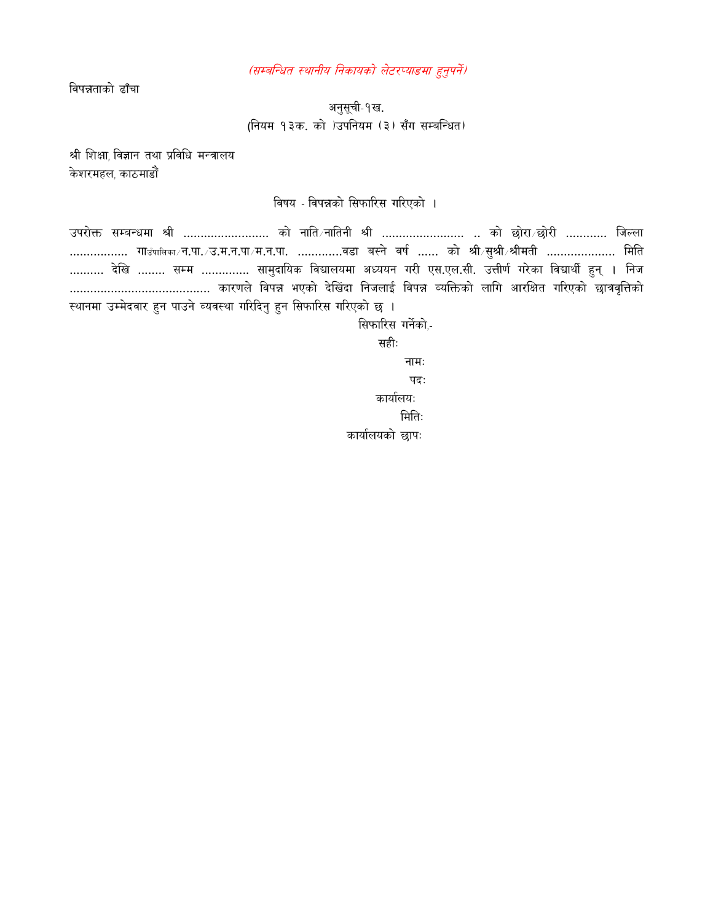(सम्बन्धित स्थानीय निकायको लेटरप्याडमा हुनुपर्ने)

विपन्नताको ढाँचा

अनुसूची-१ख. (नियम १३क. को )उपनियम (३) सँग सम्बन्धित)

श्री शिक्षा विज्ञान तथा प्रविधि मन्त्रालय केशरमहल, काठमाडौं

विषय - विपन्नको सिफारिस गरिएको ।

उपरोक्त सम्बन्धमा श्री ……………………… को नाति∕नातिनी श्री ……………………… .. को छोरा∕छोरी ………… जिल्ला ……………… गाउँपालका⊬न.पा. ⁄ उ.म.न.पा ⁄ म.न.पा. ………….वडा बस्ने वर्ष …… को श्री ∕ सुश्री ∕ श्रीमती …………………… मिति .......... देखि ........ सम्म .............. सामुदायिक विद्यालयमा अध्ययन गरी एस.एल.सी. उत्तीर्ण गरेका विद्यार्थी हुन् । निज स्थानमा उम्मेदवार हुन पाउने व्यवस्था गरिदिनु हुन सिफारिस गरिएको छ ।

> सिफारिस गर्नेको,-सहीः

> > नामः पद: कार्यालयः मितिः

कार्यालयको छापः